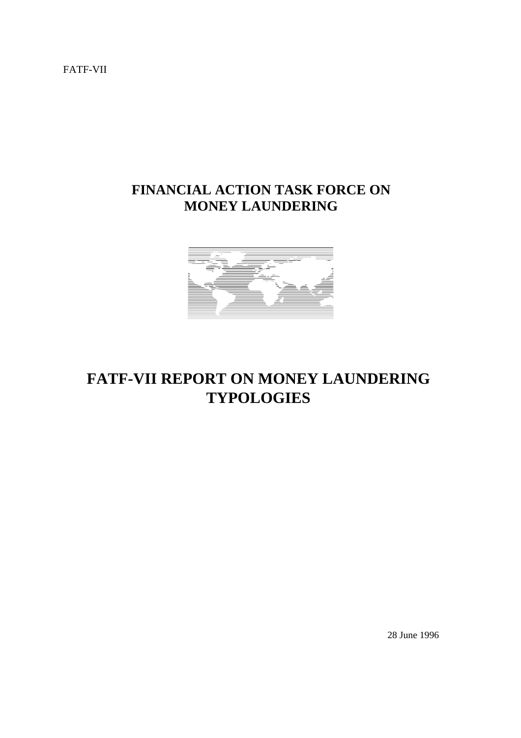FATF-VII

# **FINANCIAL ACTION TASK FORCE ON MONEY LAUNDERING**



# **FATF-VII REPORT ON MONEY LAUNDERING TYPOLOGIES**

28 June 1996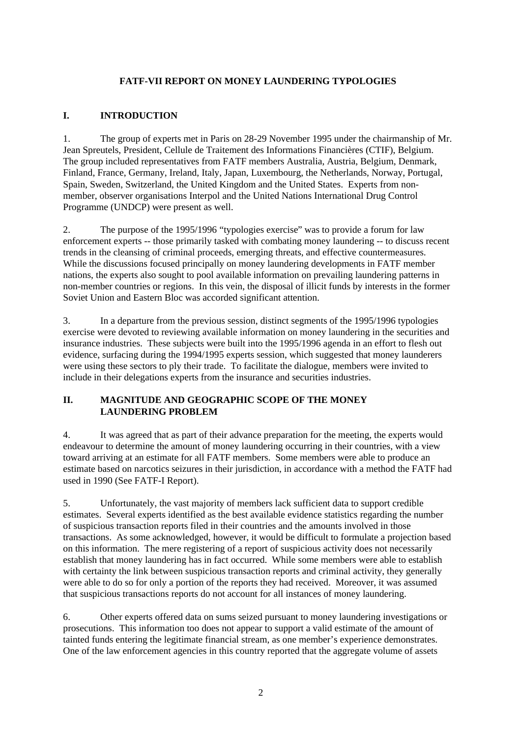#### **FATF-VII REPORT ON MONEY LAUNDERING TYPOLOGIES**

#### **I. INTRODUCTION**

1. The group of experts met in Paris on 28-29 November 1995 under the chairmanship of Mr. Jean Spreutels, President, Cellule de Traitement des Informations Financières (CTIF), Belgium. The group included representatives from FATF members Australia, Austria, Belgium, Denmark, Finland, France, Germany, Ireland, Italy, Japan, Luxembourg, the Netherlands, Norway, Portugal, Spain, Sweden, Switzerland, the United Kingdom and the United States. Experts from nonmember, observer organisations Interpol and the United Nations International Drug Control Programme (UNDCP) were present as well.

2. The purpose of the 1995/1996 "typologies exercise" was to provide a forum for law enforcement experts -- those primarily tasked with combating money laundering -- to discuss recent trends in the cleansing of criminal proceeds, emerging threats, and effective countermeasures. While the discussions focused principally on money laundering developments in FATF member nations, the experts also sought to pool available information on prevailing laundering patterns in non-member countries or regions. In this vein, the disposal of illicit funds by interests in the former Soviet Union and Eastern Bloc was accorded significant attention.

3. In a departure from the previous session, distinct segments of the 1995/1996 typologies exercise were devoted to reviewing available information on money laundering in the securities and insurance industries. These subjects were built into the 1995/1996 agenda in an effort to flesh out evidence, surfacing during the 1994/1995 experts session, which suggested that money launderers were using these sectors to ply their trade. To facilitate the dialogue, members were invited to include in their delegations experts from the insurance and securities industries.

#### **II. MAGNITUDE AND GEOGRAPHIC SCOPE OF THE MONEY LAUNDERING PROBLEM**

4. It was agreed that as part of their advance preparation for the meeting, the experts would endeavour to determine the amount of money laundering occurring in their countries, with a view toward arriving at an estimate for all FATF members. Some members were able to produce an estimate based on narcotics seizures in their jurisdiction, in accordance with a method the FATF had used in 1990 (See FATF-I Report).

5. Unfortunately, the vast majority of members lack sufficient data to support credible estimates. Several experts identified as the best available evidence statistics regarding the number of suspicious transaction reports filed in their countries and the amounts involved in those transactions. As some acknowledged, however, it would be difficult to formulate a projection based on this information. The mere registering of a report of suspicious activity does not necessarily establish that money laundering has in fact occurred. While some members were able to establish with certainty the link between suspicious transaction reports and criminal activity, they generally were able to do so for only a portion of the reports they had received. Moreover, it was assumed that suspicious transactions reports do not account for all instances of money laundering.

6. Other experts offered data on sums seized pursuant to money laundering investigations or prosecutions. This information too does not appear to support a valid estimate of the amount of tainted funds entering the legitimate financial stream, as one member's experience demonstrates. One of the law enforcement agencies in this country reported that the aggregate volume of assets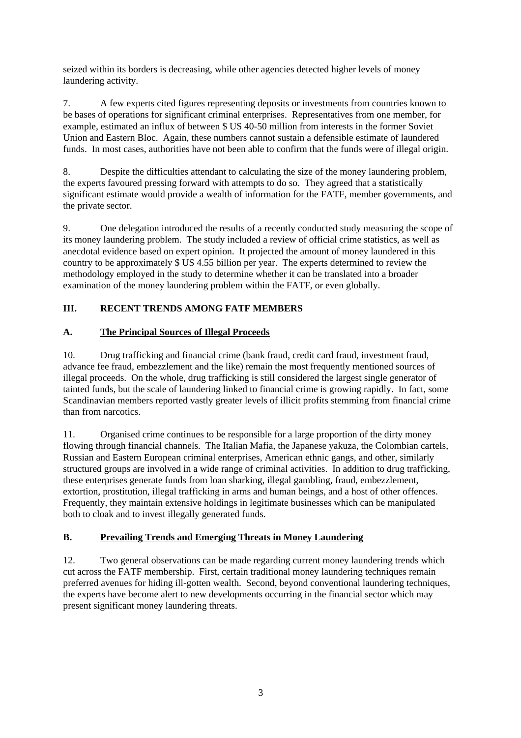seized within its borders is decreasing, while other agencies detected higher levels of money laundering activity.

7. A few experts cited figures representing deposits or investments from countries known to be bases of operations for significant criminal enterprises. Representatives from one member, for example, estimated an influx of between \$ US 40-50 million from interests in the former Soviet Union and Eastern Bloc. Again, these numbers cannot sustain a defensible estimate of laundered funds. In most cases, authorities have not been able to confirm that the funds were of illegal origin.

8. Despite the difficulties attendant to calculating the size of the money laundering problem, the experts favoured pressing forward with attempts to do so. They agreed that a statistically significant estimate would provide a wealth of information for the FATF, member governments, and the private sector.

9. One delegation introduced the results of a recently conducted study measuring the scope of its money laundering problem. The study included a review of official crime statistics, as well as anecdotal evidence based on expert opinion. It projected the amount of money laundered in this country to be approximately \$ US 4.55 billion per year. The experts determined to review the methodology employed in the study to determine whether it can be translated into a broader examination of the money laundering problem within the FATF, or even globally.

# **III. RECENT TRENDS AMONG FATF MEMBERS**

### **A. The Principal Sources of Illegal Proceeds**

10. Drug trafficking and financial crime (bank fraud, credit card fraud, investment fraud, advance fee fraud, embezzlement and the like) remain the most frequently mentioned sources of illegal proceeds. On the whole, drug trafficking is still considered the largest single generator of tainted funds, but the scale of laundering linked to financial crime is growing rapidly. In fact, some Scandinavian members reported vastly greater levels of illicit profits stemming from financial crime than from narcotics.

11. Organised crime continues to be responsible for a large proportion of the dirty money flowing through financial channels. The Italian Mafia, the Japanese yakuza, the Colombian cartels, Russian and Eastern European criminal enterprises, American ethnic gangs, and other, similarly structured groups are involved in a wide range of criminal activities. In addition to drug trafficking, these enterprises generate funds from loan sharking, illegal gambling, fraud, embezzlement, extortion, prostitution, illegal trafficking in arms and human beings, and a host of other offences. Frequently, they maintain extensive holdings in legitimate businesses which can be manipulated both to cloak and to invest illegally generated funds.

### **B. Prevailing Trends and Emerging Threats in Money Laundering**

12. Two general observations can be made regarding current money laundering trends which cut across the FATF membership. First, certain traditional money laundering techniques remain preferred avenues for hiding ill-gotten wealth. Second, beyond conventional laundering techniques, the experts have become alert to new developments occurring in the financial sector which may present significant money laundering threats.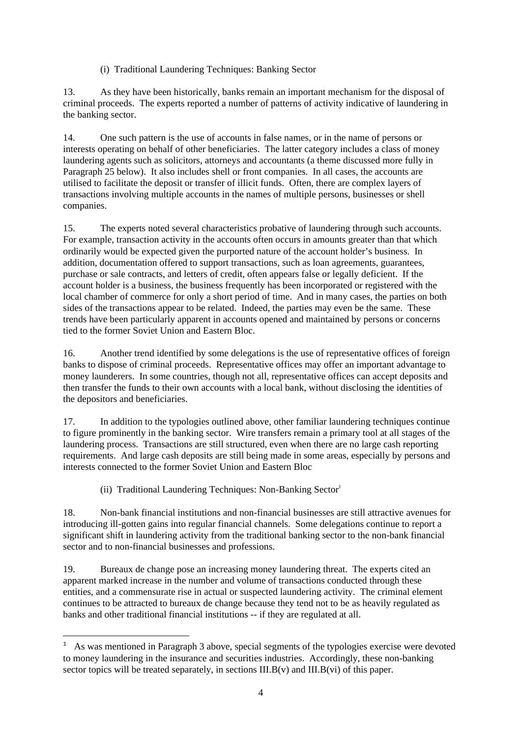(i) Traditional Laundering Techniques: Banking Sector

13. As they have been historically, banks remain an important mechanism for the disposal of criminal proceeds. The experts reported a number of patterns of activity indicative of laundering in the banking sector.

14. One such pattern is the use of accounts in false names, or in the name of persons or interests operating on behalf of other beneficiaries. The latter category includes a class of money laundering agents such as solicitors, attorneys and accountants (a theme discussed more fully in Paragraph 25 below). It also includes shell or front companies. In all cases, the accounts are utilised to facilitate the deposit or transfer of illicit funds. Often, there are complex layers of transactions involving multiple accounts in the names of multiple persons, businesses or shell companies.

15. The experts noted several characteristics probative of laundering through such accounts. For example, transaction activity in the accounts often occurs in amounts greater than that which ordinarily would be expected given the purported nature of the account holder's business. In addition, documentation offered to support transactions, such as loan agreements, guarantees, purchase or sale contracts, and letters of credit, often appears false or legally deficient. If the account holder is a business, the business frequently has been incorporated or registered with the local chamber of commerce for only a short period of time. And in many cases, the parties on both sides of the transactions appear to be related. Indeed, the parties may even be the same. These trends have been particularly apparent in accounts opened and maintained by persons or concerns tied to the former Soviet Union and Eastern Bloc.

16. Another trend identified by some delegations is the use of representative offices of foreign banks to dispose of criminal proceeds. Representative offices may offer an important advantage to money launderers. In some countries, though not all, representative offices can accept deposits and then transfer the funds to their own accounts with a local bank, without disclosing the identities of the depositors and beneficiaries.

17. In addition to the typologies outlined above, other familiar laundering techniques continue to figure prominently in the banking sector. Wire transfers remain a primary tool at all stages of the laundering process. Transactions are still structured, even when there are no large cash reporting requirements. And large cash deposits are still being made in some areas, especially by persons and interests connected to the former Soviet Union and Eastern Bloc

(ii) Traditional Laundering Techniques: Non-Banking  $Sector<sup>1</sup>$ 

٠

18. Non-bank financial institutions and non-financial businesses are still attractive avenues for introducing ill-gotten gains into regular financial channels. Some delegations continue to report a significant shift in laundering activity from the traditional banking sector to the non-bank financial sector and to non-financial businesses and professions.

19. Bureaux de change pose an increasing money laundering threat. The experts cited an apparent marked increase in the number and volume of transactions conducted through these entities, and a commensurate rise in actual or suspected laundering activity. The criminal element continues to be attracted to bureaux de change because they tend not to be as heavily regulated as banks and other traditional financial institutions -- if they are regulated at all.

<sup>1</sup> As was mentioned in Paragraph 3 above, special segments of the typologies exercise were devoted to money laundering in the insurance and securities industries. Accordingly, these non-banking sector topics will be treated separately, in sections III.B(v) and III.B(vi) of this paper.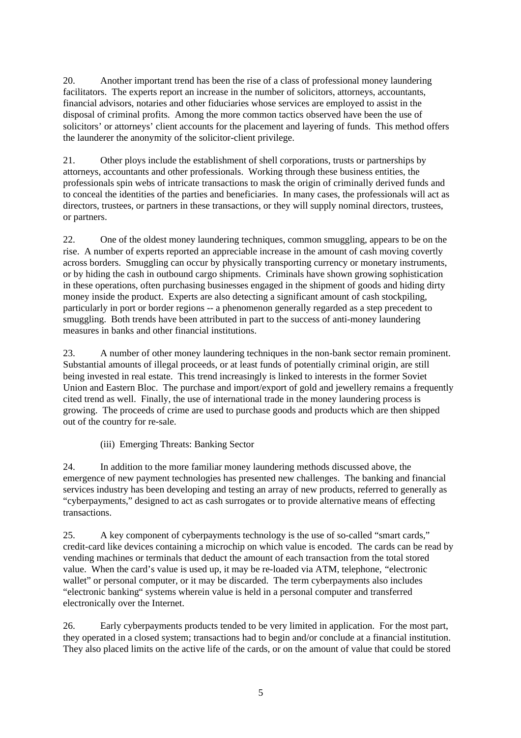20. Another important trend has been the rise of a class of professional money laundering facilitators. The experts report an increase in the number of solicitors, attorneys, accountants, financial advisors, notaries and other fiduciaries whose services are employed to assist in the disposal of criminal profits. Among the more common tactics observed have been the use of solicitors' or attorneys' client accounts for the placement and layering of funds. This method offers the launderer the anonymity of the solicitor-client privilege.

21. Other ploys include the establishment of shell corporations, trusts or partnerships by attorneys, accountants and other professionals. Working through these business entities, the professionals spin webs of intricate transactions to mask the origin of criminally derived funds and to conceal the identities of the parties and beneficiaries. In many cases, the professionals will act as directors, trustees, or partners in these transactions, or they will supply nominal directors, trustees, or partners.

22. One of the oldest money laundering techniques, common smuggling, appears to be on the rise. A number of experts reported an appreciable increase in the amount of cash moving covertly across borders. Smuggling can occur by physically transporting currency or monetary instruments, or by hiding the cash in outbound cargo shipments. Criminals have shown growing sophistication in these operations, often purchasing businesses engaged in the shipment of goods and hiding dirty money inside the product. Experts are also detecting a significant amount of cash stockpiling, particularly in port or border regions -- a phenomenon generally regarded as a step precedent to smuggling. Both trends have been attributed in part to the success of anti-money laundering measures in banks and other financial institutions.

23. A number of other money laundering techniques in the non-bank sector remain prominent. Substantial amounts of illegal proceeds, or at least funds of potentially criminal origin, are still being invested in real estate. This trend increasingly is linked to interests in the former Soviet Union and Eastern Bloc. The purchase and import/export of gold and jewellery remains a frequently cited trend as well. Finally, the use of international trade in the money laundering process is growing. The proceeds of crime are used to purchase goods and products which are then shipped out of the country for re-sale.

(iii) Emerging Threats: Banking Sector

24. In addition to the more familiar money laundering methods discussed above, the emergence of new payment technologies has presented new challenges. The banking and financial services industry has been developing and testing an array of new products, referred to generally as "cyberpayments," designed to act as cash surrogates or to provide alternative means of effecting transactions.

25. A key component of cyberpayments technology is the use of so-called "smart cards," credit-card like devices containing a microchip on which value is encoded. The cards can be read by vending machines or terminals that deduct the amount of each transaction from the total stored value. When the card's value is used up, it may be re-loaded via ATM, telephone, "electronic wallet" or personal computer, or it may be discarded. The term cyberpayments also includes "electronic banking" systems wherein value is held in a personal computer and transferred electronically over the Internet.

26. Early cyberpayments products tended to be very limited in application. For the most part, they operated in a closed system; transactions had to begin and/or conclude at a financial institution. They also placed limits on the active life of the cards, or on the amount of value that could be stored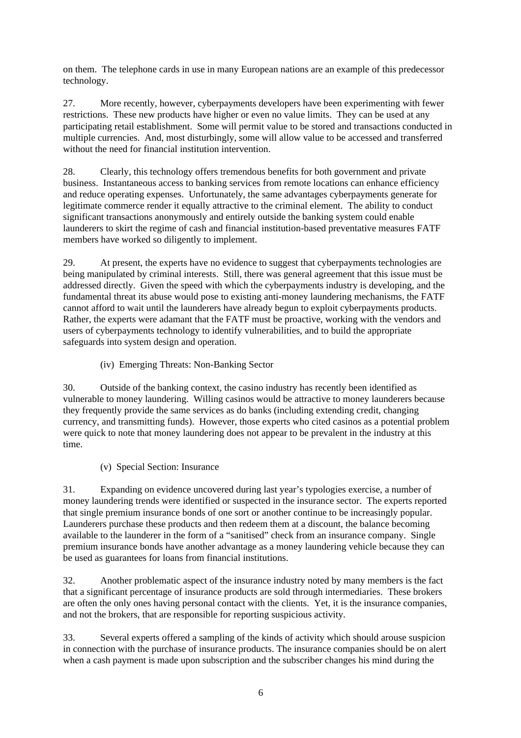on them. The telephone cards in use in many European nations are an example of this predecessor technology.

27. More recently, however, cyberpayments developers have been experimenting with fewer restrictions. These new products have higher or even no value limits. They can be used at any participating retail establishment. Some will permit value to be stored and transactions conducted in multiple currencies. And, most disturbingly, some will allow value to be accessed and transferred without the need for financial institution intervention.

28. Clearly, this technology offers tremendous benefits for both government and private business. Instantaneous access to banking services from remote locations can enhance efficiency and reduce operating expenses. Unfortunately, the same advantages cyberpayments generate for legitimate commerce render it equally attractive to the criminal element. The ability to conduct significant transactions anonymously and entirely outside the banking system could enable launderers to skirt the regime of cash and financial institution-based preventative measures FATF members have worked so diligently to implement.

29. At present, the experts have no evidence to suggest that cyberpayments technologies are being manipulated by criminal interests. Still, there was general agreement that this issue must be addressed directly. Given the speed with which the cyberpayments industry is developing, and the fundamental threat its abuse would pose to existing anti-money laundering mechanisms, the FATF cannot afford to wait until the launderers have already begun to exploit cyberpayments products. Rather, the experts were adamant that the FATF must be proactive, working with the vendors and users of cyberpayments technology to identify vulnerabilities, and to build the appropriate safeguards into system design and operation.

(iv) Emerging Threats: Non-Banking Sector

30. Outside of the banking context, the casino industry has recently been identified as vulnerable to money laundering. Willing casinos would be attractive to money launderers because they frequently provide the same services as do banks (including extending credit, changing currency, and transmitting funds). However, those experts who cited casinos as a potential problem were quick to note that money laundering does not appear to be prevalent in the industry at this time.

(v) Special Section: Insurance

31. Expanding on evidence uncovered during last year's typologies exercise, a number of money laundering trends were identified or suspected in the insurance sector. The experts reported that single premium insurance bonds of one sort or another continue to be increasingly popular. Launderers purchase these products and then redeem them at a discount, the balance becoming available to the launderer in the form of a "sanitised" check from an insurance company. Single premium insurance bonds have another advantage as a money laundering vehicle because they can be used as guarantees for loans from financial institutions.

32. Another problematic aspect of the insurance industry noted by many members is the fact that a significant percentage of insurance products are sold through intermediaries. These brokers are often the only ones having personal contact with the clients. Yet, it is the insurance companies, and not the brokers, that are responsible for reporting suspicious activity.

33. Several experts offered a sampling of the kinds of activity which should arouse suspicion in connection with the purchase of insurance products. The insurance companies should be on alert when a cash payment is made upon subscription and the subscriber changes his mind during the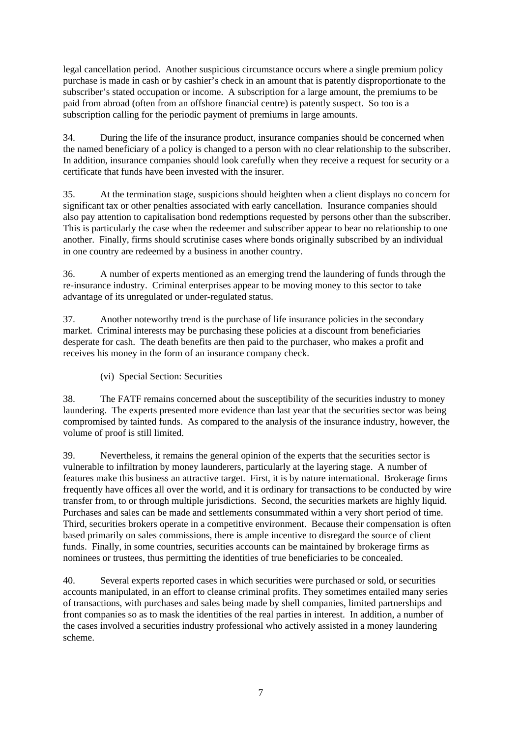legal cancellation period. Another suspicious circumstance occurs where a single premium policy purchase is made in cash or by cashier's check in an amount that is patently disproportionate to the subscriber's stated occupation or income. A subscription for a large amount, the premiums to be paid from abroad (often from an offshore financial centre) is patently suspect. So too is a subscription calling for the periodic payment of premiums in large amounts.

34. During the life of the insurance product, insurance companies should be concerned when the named beneficiary of a policy is changed to a person with no clear relationship to the subscriber. In addition, insurance companies should look carefully when they receive a request for security or a certificate that funds have been invested with the insurer.

35. At the termination stage, suspicions should heighten when a client displays no concern for significant tax or other penalties associated with early cancellation. Insurance companies should also pay attention to capitalisation bond redemptions requested by persons other than the subscriber. This is particularly the case when the redeemer and subscriber appear to bear no relationship to one another. Finally, firms should scrutinise cases where bonds originally subscribed by an individual in one country are redeemed by a business in another country.

36. A number of experts mentioned as an emerging trend the laundering of funds through the re-insurance industry. Criminal enterprises appear to be moving money to this sector to take advantage of its unregulated or under-regulated status.

37. Another noteworthy trend is the purchase of life insurance policies in the secondary market. Criminal interests may be purchasing these policies at a discount from beneficiaries desperate for cash. The death benefits are then paid to the purchaser, who makes a profit and receives his money in the form of an insurance company check.

(vi) Special Section: Securities

38. The FATF remains concerned about the susceptibility of the securities industry to money laundering. The experts presented more evidence than last year that the securities sector was being compromised by tainted funds. As compared to the analysis of the insurance industry, however, the volume of proof is still limited.

39. Nevertheless, it remains the general opinion of the experts that the securities sector is vulnerable to infiltration by money launderers, particularly at the layering stage. A number of features make this business an attractive target. First, it is by nature international. Brokerage firms frequently have offices all over the world, and it is ordinary for transactions to be conducted by wire transfer from, to or through multiple jurisdictions. Second, the securities markets are highly liquid. Purchases and sales can be made and settlements consummated within a very short period of time. Third, securities brokers operate in a competitive environment. Because their compensation is often based primarily on sales commissions, there is ample incentive to disregard the source of client funds. Finally, in some countries, securities accounts can be maintained by brokerage firms as nominees or trustees, thus permitting the identities of true beneficiaries to be concealed.

40. Several experts reported cases in which securities were purchased or sold, or securities accounts manipulated, in an effort to cleanse criminal profits. They sometimes entailed many series of transactions, with purchases and sales being made by shell companies, limited partnerships and front companies so as to mask the identities of the real parties in interest. In addition, a number of the cases involved a securities industry professional who actively assisted in a money laundering scheme.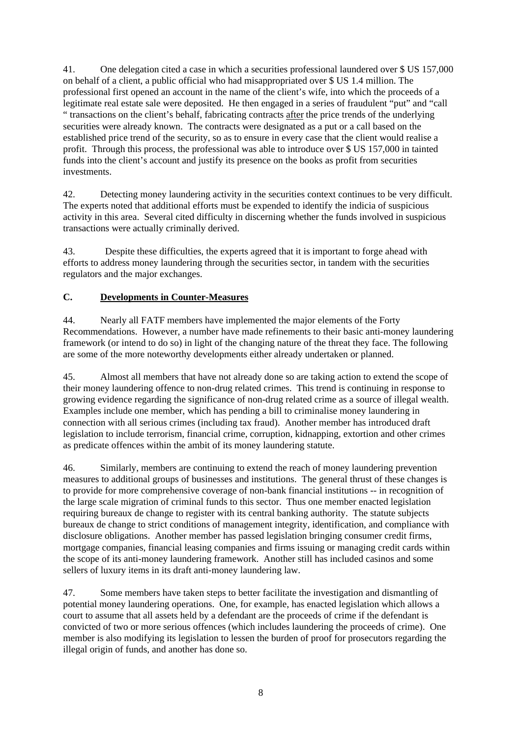41. One delegation cited a case in which a securities professional laundered over \$ US 157,000 on behalf of a client, a public official who had misappropriated over \$ US 1.4 million. The professional first opened an account in the name of the client's wife, into which the proceeds of a legitimate real estate sale were deposited. He then engaged in a series of fraudulent "put" and "call " transactions on the client's behalf, fabricating contracts after the price trends of the underlying securities were already known. The contracts were designated as a put or a call based on the established price trend of the security, so as to ensure in every case that the client would realise a profit. Through this process, the professional was able to introduce over \$ US 157,000 in tainted funds into the client's account and justify its presence on the books as profit from securities investments.

42. Detecting money laundering activity in the securities context continues to be very difficult. The experts noted that additional efforts must be expended to identify the indicia of suspicious activity in this area. Several cited difficulty in discerning whether the funds involved in suspicious transactions were actually criminally derived.

43. Despite these difficulties, the experts agreed that it is important to forge ahead with efforts to address money laundering through the securities sector, in tandem with the securities regulators and the major exchanges.

#### **C. Developments in Counter-Measures**

44. Nearly all FATF members have implemented the major elements of the Forty Recommendations. However, a number have made refinements to their basic anti-money laundering framework (or intend to do so) in light of the changing nature of the threat they face. The following are some of the more noteworthy developments either already undertaken or planned.

45. Almost all members that have not already done so are taking action to extend the scope of their money laundering offence to non-drug related crimes. This trend is continuing in response to growing evidence regarding the significance of non-drug related crime as a source of illegal wealth. Examples include one member, which has pending a bill to criminalise money laundering in connection with all serious crimes (including tax fraud). Another member has introduced draft legislation to include terrorism, financial crime, corruption, kidnapping, extortion and other crimes as predicate offences within the ambit of its money laundering statute.

46. Similarly, members are continuing to extend the reach of money laundering prevention measures to additional groups of businesses and institutions. The general thrust of these changes is to provide for more comprehensive coverage of non-bank financial institutions -- in recognition of the large scale migration of criminal funds to this sector. Thus one member enacted legislation requiring bureaux de change to register with its central banking authority. The statute subjects bureaux de change to strict conditions of management integrity, identification, and compliance with disclosure obligations. Another member has passed legislation bringing consumer credit firms, mortgage companies, financial leasing companies and firms issuing or managing credit cards within the scope of its anti-money laundering framework. Another still has included casinos and some sellers of luxury items in its draft anti-money laundering law.

47. Some members have taken steps to better facilitate the investigation and dismantling of potential money laundering operations. One, for example, has enacted legislation which allows a court to assume that all assets held by a defendant are the proceeds of crime if the defendant is convicted of two or more serious offences (which includes laundering the proceeds of crime). One member is also modifying its legislation to lessen the burden of proof for prosecutors regarding the illegal origin of funds, and another has done so.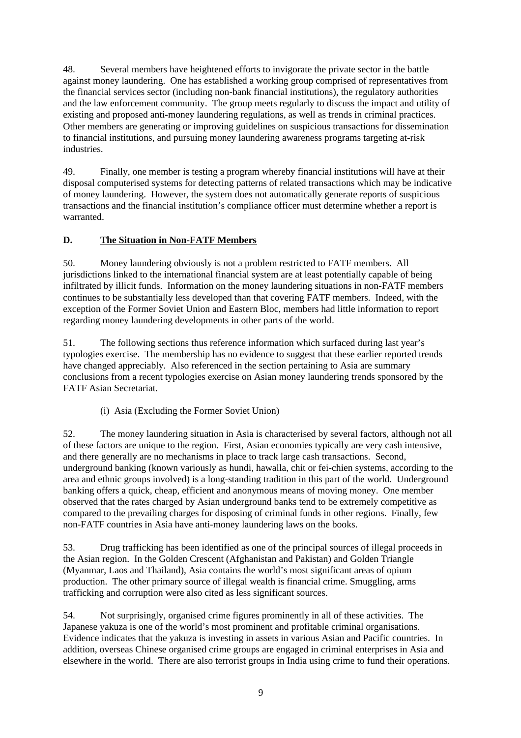48. Several members have heightened efforts to invigorate the private sector in the battle against money laundering. One has established a working group comprised of representatives from the financial services sector (including non-bank financial institutions), the regulatory authorities and the law enforcement community. The group meets regularly to discuss the impact and utility of existing and proposed anti-money laundering regulations, as well as trends in criminal practices. Other members are generating or improving guidelines on suspicious transactions for dissemination to financial institutions, and pursuing money laundering awareness programs targeting at-risk industries.

49. Finally, one member is testing a program whereby financial institutions will have at their disposal computerised systems for detecting patterns of related transactions which may be indicative of money laundering. However, the system does not automatically generate reports of suspicious transactions and the financial institution's compliance officer must determine whether a report is warranted.

#### **D. The Situation in Non-FATF Members**

50. Money laundering obviously is not a problem restricted to FATF members. All jurisdictions linked to the international financial system are at least potentially capable of being infiltrated by illicit funds. Information on the money laundering situations in non-FATF members continues to be substantially less developed than that covering FATF members. Indeed, with the exception of the Former Soviet Union and Eastern Bloc, members had little information to report regarding money laundering developments in other parts of the world.

51. The following sections thus reference information which surfaced during last year's typologies exercise. The membership has no evidence to suggest that these earlier reported trends have changed appreciably. Also referenced in the section pertaining to Asia are summary conclusions from a recent typologies exercise on Asian money laundering trends sponsored by the FATF Asian Secretariat.

(i) Asia (Excluding the Former Soviet Union)

52. The money laundering situation in Asia is characterised by several factors, although not all of these factors are unique to the region. First, Asian economies typically are very cash intensive, and there generally are no mechanisms in place to track large cash transactions. Second, underground banking (known variously as hundi, hawalla, chit or fei-chien systems, according to the area and ethnic groups involved) is a long-standing tradition in this part of the world. Underground banking offers a quick, cheap, efficient and anonymous means of moving money. One member observed that the rates charged by Asian underground banks tend to be extremely competitive as compared to the prevailing charges for disposing of criminal funds in other regions. Finally, few non-FATF countries in Asia have anti-money laundering laws on the books.

53. Drug trafficking has been identified as one of the principal sources of illegal proceeds in the Asian region. In the Golden Crescent (Afghanistan and Pakistan) and Golden Triangle (Myanmar, Laos and Thailand), Asia contains the world's most significant areas of opium production. The other primary source of illegal wealth is financial crime. Smuggling, arms trafficking and corruption were also cited as less significant sources.

54. Not surprisingly, organised crime figures prominently in all of these activities. The Japanese yakuza is one of the world's most prominent and profitable criminal organisations. Evidence indicates that the yakuza is investing in assets in various Asian and Pacific countries. In addition, overseas Chinese organised crime groups are engaged in criminal enterprises in Asia and elsewhere in the world. There are also terrorist groups in India using crime to fund their operations.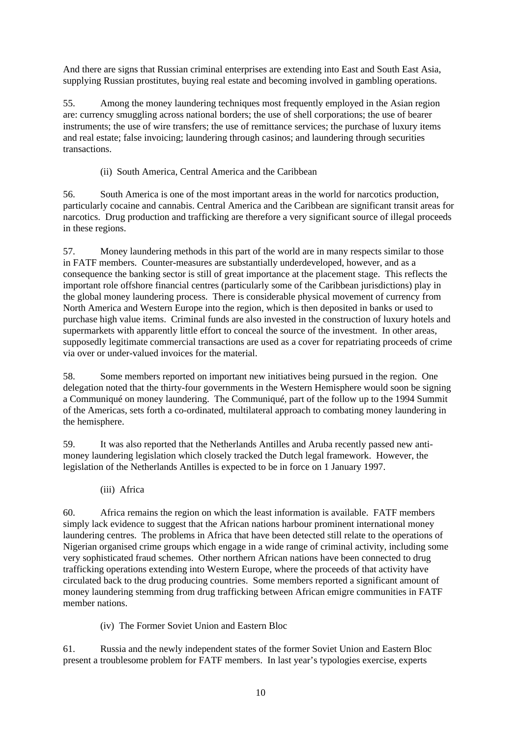And there are signs that Russian criminal enterprises are extending into East and South East Asia, supplying Russian prostitutes, buying real estate and becoming involved in gambling operations.

55. Among the money laundering techniques most frequently employed in the Asian region are: currency smuggling across national borders; the use of shell corporations; the use of bearer instruments; the use of wire transfers; the use of remittance services; the purchase of luxury items and real estate; false invoicing; laundering through casinos; and laundering through securities transactions.

(ii) South America, Central America and the Caribbean

56. South America is one of the most important areas in the world for narcotics production, particularly cocaine and cannabis. Central America and the Caribbean are significant transit areas for narcotics. Drug production and trafficking are therefore a very significant source of illegal proceeds in these regions.

57. Money laundering methods in this part of the world are in many respects similar to those in FATF members. Counter-measures are substantially underdeveloped, however, and as a consequence the banking sector is still of great importance at the placement stage. This reflects the important role offshore financial centres (particularly some of the Caribbean jurisdictions) play in the global money laundering process. There is considerable physical movement of currency from North America and Western Europe into the region, which is then deposited in banks or used to purchase high value items. Criminal funds are also invested in the construction of luxury hotels and supermarkets with apparently little effort to conceal the source of the investment. In other areas, supposedly legitimate commercial transactions are used as a cover for repatriating proceeds of crime via over or under-valued invoices for the material.

58. Some members reported on important new initiatives being pursued in the region. One delegation noted that the thirty-four governments in the Western Hemisphere would soon be signing a Communiqué on money laundering. The Communiqué, part of the follow up to the 1994 Summit of the Americas, sets forth a co-ordinated, multilateral approach to combating money laundering in the hemisphere.

59. It was also reported that the Netherlands Antilles and Aruba recently passed new antimoney laundering legislation which closely tracked the Dutch legal framework. However, the legislation of the Netherlands Antilles is expected to be in force on 1 January 1997.

(iii) Africa

60. Africa remains the region on which the least information is available. FATF members simply lack evidence to suggest that the African nations harbour prominent international money laundering centres. The problems in Africa that have been detected still relate to the operations of Nigerian organised crime groups which engage in a wide range of criminal activity, including some very sophisticated fraud schemes. Other northern African nations have been connected to drug trafficking operations extending into Western Europe, where the proceeds of that activity have circulated back to the drug producing countries. Some members reported a significant amount of money laundering stemming from drug trafficking between African emigre communities in FATF member nations.

(iv) The Former Soviet Union and Eastern Bloc

61. Russia and the newly independent states of the former Soviet Union and Eastern Bloc present a troublesome problem for FATF members. In last year's typologies exercise, experts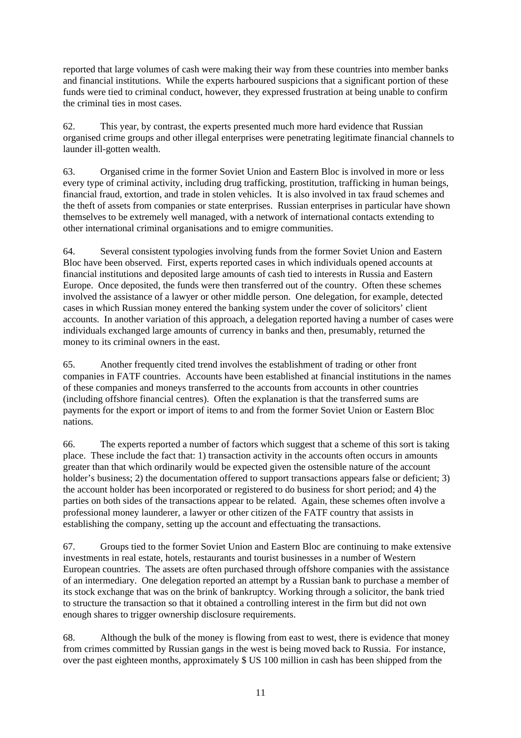reported that large volumes of cash were making their way from these countries into member banks and financial institutions. While the experts harboured suspicions that a significant portion of these funds were tied to criminal conduct, however, they expressed frustration at being unable to confirm the criminal ties in most cases.

62. This year, by contrast, the experts presented much more hard evidence that Russian organised crime groups and other illegal enterprises were penetrating legitimate financial channels to launder ill-gotten wealth.

63. Organised crime in the former Soviet Union and Eastern Bloc is involved in more or less every type of criminal activity, including drug trafficking, prostitution, trafficking in human beings, financial fraud, extortion, and trade in stolen vehicles. It is also involved in tax fraud schemes and the theft of assets from companies or state enterprises. Russian enterprises in particular have shown themselves to be extremely well managed, with a network of international contacts extending to other international criminal organisations and to emigre communities.

64. Several consistent typologies involving funds from the former Soviet Union and Eastern Bloc have been observed. First, experts reported cases in which individuals opened accounts at financial institutions and deposited large amounts of cash tied to interests in Russia and Eastern Europe. Once deposited, the funds were then transferred out of the country. Often these schemes involved the assistance of a lawyer or other middle person. One delegation, for example, detected cases in which Russian money entered the banking system under the cover of solicitors' client accounts. In another variation of this approach, a delegation reported having a number of cases were individuals exchanged large amounts of currency in banks and then, presumably, returned the money to its criminal owners in the east.

65. Another frequently cited trend involves the establishment of trading or other front companies in FATF countries. Accounts have been established at financial institutions in the names of these companies and moneys transferred to the accounts from accounts in other countries (including offshore financial centres). Often the explanation is that the transferred sums are payments for the export or import of items to and from the former Soviet Union or Eastern Bloc nations.

66. The experts reported a number of factors which suggest that a scheme of this sort is taking place. These include the fact that: 1) transaction activity in the accounts often occurs in amounts greater than that which ordinarily would be expected given the ostensible nature of the account holder's business; 2) the documentation offered to support transactions appears false or deficient; 3) the account holder has been incorporated or registered to do business for short period; and 4) the parties on both sides of the transactions appear to be related. Again, these schemes often involve a professional money launderer, a lawyer or other citizen of the FATF country that assists in establishing the company, setting up the account and effectuating the transactions.

67. Groups tied to the former Soviet Union and Eastern Bloc are continuing to make extensive investments in real estate, hotels, restaurants and tourist businesses in a number of Western European countries. The assets are often purchased through offshore companies with the assistance of an intermediary. One delegation reported an attempt by a Russian bank to purchase a member of its stock exchange that was on the brink of bankruptcy. Working through a solicitor, the bank tried to structure the transaction so that it obtained a controlling interest in the firm but did not own enough shares to trigger ownership disclosure requirements.

68. Although the bulk of the money is flowing from east to west, there is evidence that money from crimes committed by Russian gangs in the west is being moved back to Russia. For instance, over the past eighteen months, approximately \$ US 100 million in cash has been shipped from the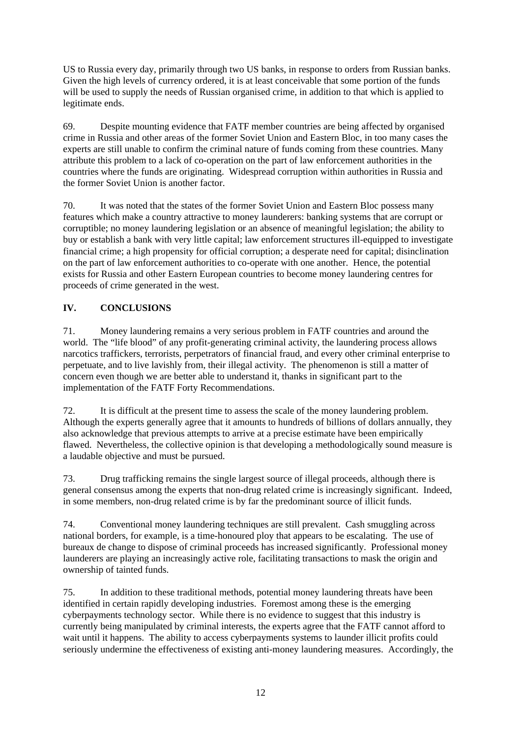US to Russia every day, primarily through two US banks, in response to orders from Russian banks. Given the high levels of currency ordered, it is at least conceivable that some portion of the funds will be used to supply the needs of Russian organised crime, in addition to that which is applied to legitimate ends.

69. Despite mounting evidence that FATF member countries are being affected by organised crime in Russia and other areas of the former Soviet Union and Eastern Bloc, in too many cases the experts are still unable to confirm the criminal nature of funds coming from these countries. Many attribute this problem to a lack of co-operation on the part of law enforcement authorities in the countries where the funds are originating. Widespread corruption within authorities in Russia and the former Soviet Union is another factor.

70. It was noted that the states of the former Soviet Union and Eastern Bloc possess many features which make a country attractive to money launderers: banking systems that are corrupt or corruptible; no money laundering legislation or an absence of meaningful legislation; the ability to buy or establish a bank with very little capital; law enforcement structures ill-equipped to investigate financial crime; a high propensity for official corruption; a desperate need for capital; disinclination on the part of law enforcement authorities to co-operate with one another. Hence, the potential exists for Russia and other Eastern European countries to become money laundering centres for proceeds of crime generated in the west.

# **IV. CONCLUSIONS**

71. Money laundering remains a very serious problem in FATF countries and around the world. The "life blood" of any profit-generating criminal activity, the laundering process allows narcotics traffickers, terrorists, perpetrators of financial fraud, and every other criminal enterprise to perpetuate, and to live lavishly from, their illegal activity. The phenomenon is still a matter of concern even though we are better able to understand it, thanks in significant part to the implementation of the FATF Forty Recommendations.

72. It is difficult at the present time to assess the scale of the money laundering problem. Although the experts generally agree that it amounts to hundreds of billions of dollars annually, they also acknowledge that previous attempts to arrive at a precise estimate have been empirically flawed. Nevertheless, the collective opinion is that developing a methodologically sound measure is a laudable objective and must be pursued.

73. Drug trafficking remains the single largest source of illegal proceeds, although there is general consensus among the experts that non-drug related crime is increasingly significant. Indeed, in some members, non-drug related crime is by far the predominant source of illicit funds.

74. Conventional money laundering techniques are still prevalent. Cash smuggling across national borders, for example, is a time-honoured ploy that appears to be escalating. The use of bureaux de change to dispose of criminal proceeds has increased significantly. Professional money launderers are playing an increasingly active role, facilitating transactions to mask the origin and ownership of tainted funds.

75. In addition to these traditional methods, potential money laundering threats have been identified in certain rapidly developing industries. Foremost among these is the emerging cyberpayments technology sector. While there is no evidence to suggest that this industry is currently being manipulated by criminal interests, the experts agree that the FATF cannot afford to wait until it happens. The ability to access cyberpayments systems to launder illicit profits could seriously undermine the effectiveness of existing anti-money laundering measures. Accordingly, the